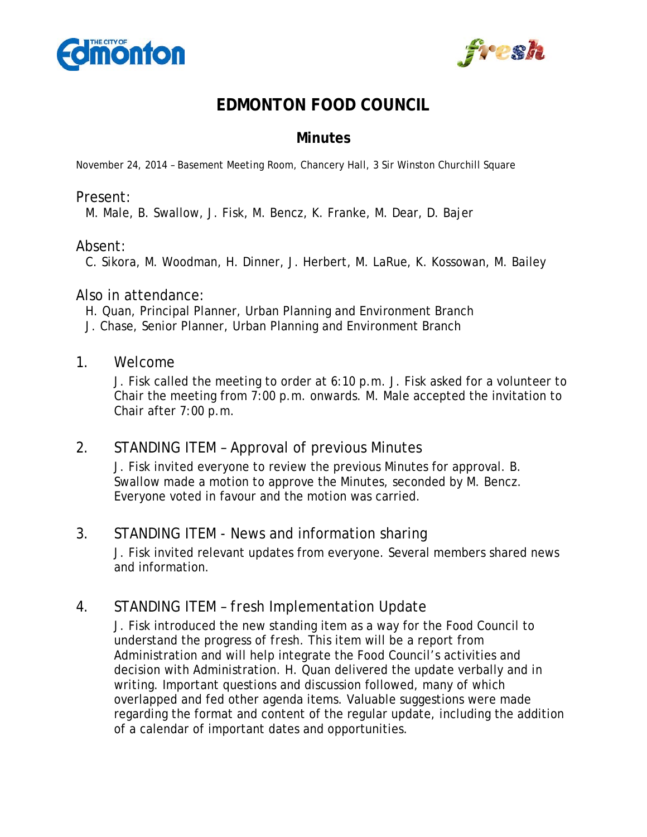



# **EDMONTON FOOD COUNCIL**

# **Minutes**

November 24, 2014 – Basement Meeting Room, Chancery Hall, 3 Sir Winston Churchill Square

#### Present:

M. Male, B. Swallow, J. Fisk, M. Bencz, K. Franke, M. Dear, D. Bajer

#### Absent:

C. Sikora, M. Woodman, H. Dinner, J. Herbert, M. LaRue, K. Kossowan, M. Bailey

#### Also in attendance:

H. Quan, Principal Planner, Urban Planning and Environment Branch

J. Chase, Senior Planner, Urban Planning and Environment Branch

#### 1. Welcome

J. Fisk called the meeting to order at 6:10 p.m. J. Fisk asked for a volunteer to Chair the meeting from 7:00 p.m. onwards. M. Male accepted the invitation to Chair after 7:00 p.m.

# 2. STANDING ITEM – Approval of previous Minutes

J. Fisk invited everyone to review the previous Minutes for approval. B. Swallow made a motion to approve the Minutes, seconded by M. Bencz. Everyone voted in favour and the motion was carried.

# 3. STANDING ITEM - News and information sharing

J. Fisk invited relevant updates from everyone. Several members shared news and information.

# 4. STANDING ITEM – *fresh* Implementation Update

J. Fisk introduced the new standing item as a way for the Food Council to understand the progress of *fresh*. This item will be a report from Administration and will help integrate the Food Council's activities and decision with Administration. H. Quan delivered the update verbally and in writing. Important questions and discussion followed, many of which overlapped and fed other agenda items. Valuable suggestions were made regarding the format and content of the regular update, including the addition of a calendar of important dates and opportunities.